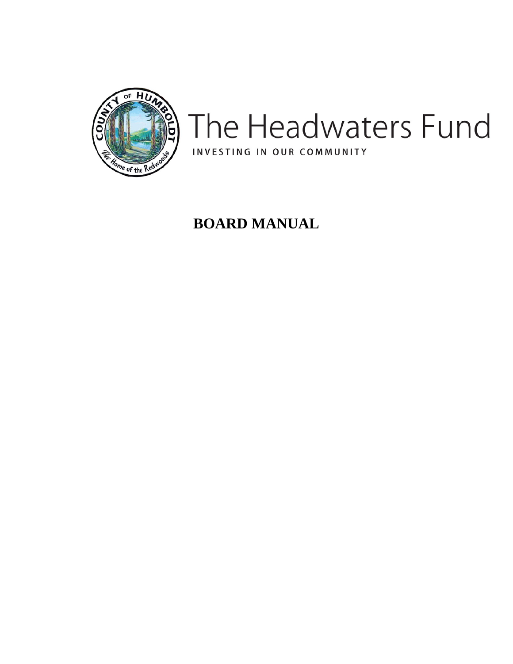

# The Headwaters Fund INVESTING IN OUR COMMUNITY

# **BOARD MANUAL**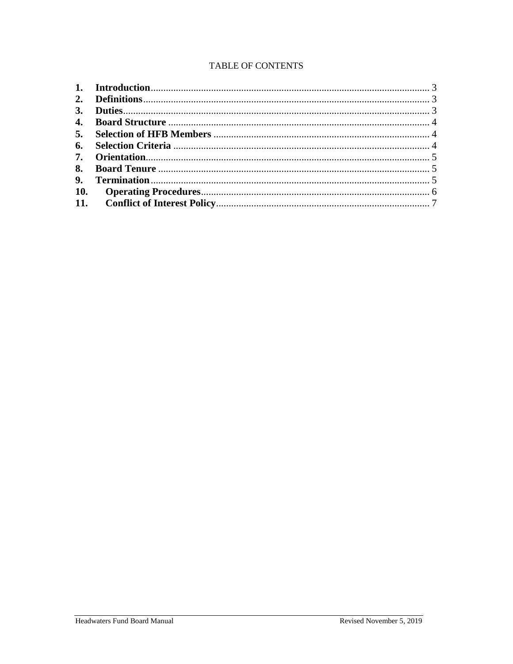# TABLE OF CONTENTS

| 2.            |  |
|---------------|--|
| <sup>3.</sup> |  |
|               |  |
|               |  |
|               |  |
| 7.            |  |
|               |  |
| 9.            |  |
| <b>10.</b>    |  |
|               |  |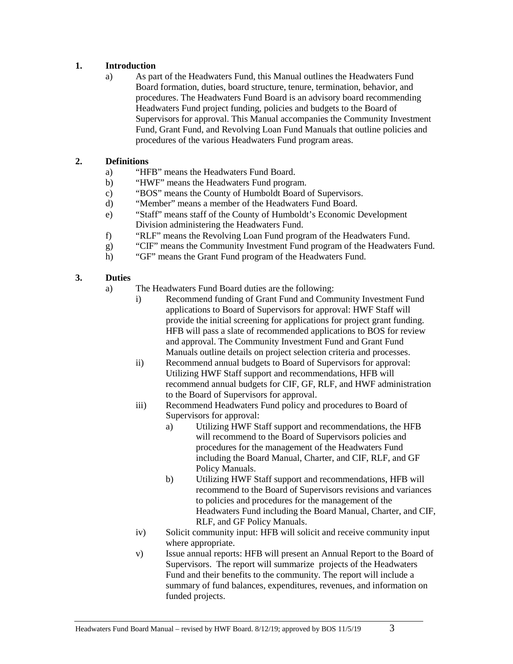# <span id="page-2-0"></span>**1. Introduction**

a) As part of the Headwaters Fund, this Manual outlines the Headwaters Fund Board formation, duties, board structure, tenure, termination, behavior, and procedures. The Headwaters Fund Board is an advisory board recommending Headwaters Fund project funding, policies and budgets to the Board of Supervisors for approval. This Manual accompanies the Community Investment Fund, Grant Fund, and Revolving Loan Fund Manuals that outline policies and procedures of the various Headwaters Fund program areas.

# <span id="page-2-1"></span>**2. Definitions**

- a) "HFB" means the Headwaters Fund Board.
- b) "HWF" means the Headwaters Fund program.
- c) "BOS" means the County of Humboldt Board of Supervisors.
- d) "Member" means a member of the Headwaters Fund Board.
- e) "Staff" means staff of the County of Humboldt's Economic Development Division administering the Headwaters Fund.
- f) "RLF" means the Revolving Loan Fund program of the Headwaters Fund.
- g) "CIF" means the Community Investment Fund program of the Headwaters Fund.
- h) "GF" means the Grant Fund program of the Headwaters Fund.

# <span id="page-2-2"></span>**3. Duties**

- a) The Headwaters Fund Board duties are the following:
	- i) Recommend funding of Grant Fund and Community Investment Fund applications to Board of Supervisors for approval: HWF Staff will provide the initial screening for applications for project grant funding. HFB will pass a slate of recommended applications to BOS for review and approval. The Community Investment Fund and Grant Fund Manuals outline details on project selection criteria and processes.
	- ii) Recommend annual budgets to Board of Supervisors for approval: Utilizing HWF Staff support and recommendations, HFB will recommend annual budgets for CIF, GF, RLF, and HWF administration to the Board of Supervisors for approval.
	- iii) Recommend Headwaters Fund policy and procedures to Board of Supervisors for approval:
		- a) Utilizing HWF Staff support and recommendations, the HFB will recommend to the Board of Supervisors policies and procedures for the management of the Headwaters Fund including the Board Manual, Charter, and CIF, RLF, and GF Policy Manuals.
		- b) Utilizing HWF Staff support and recommendations, HFB will recommend to the Board of Supervisors revisions and variances to policies and procedures for the management of the Headwaters Fund including the Board Manual, Charter, and CIF, RLF, and GF Policy Manuals.
	- iv) Solicit community input: HFB will solicit and receive community input where appropriate.
	- v) Issue annual reports: HFB will present an Annual Report to the Board of Supervisors. The report will summarize projects of the Headwaters Fund and their benefits to the community. The report will include a summary of fund balances, expenditures, revenues, and information on funded projects.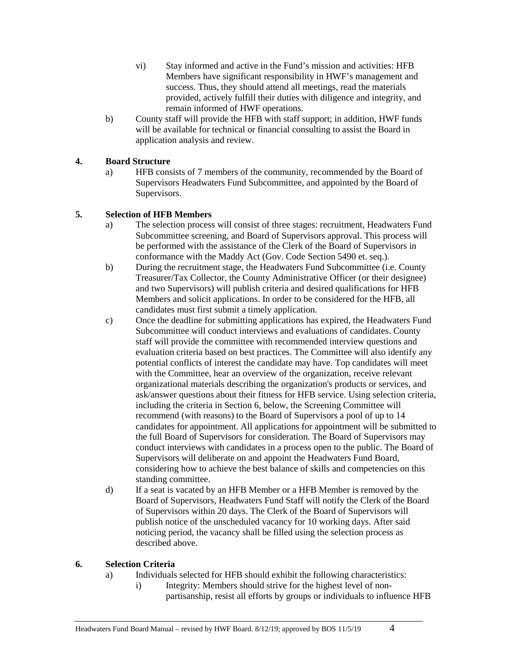- vi) Stay informed and active in the Fund's mission and activities: HFB Members have significant responsibility in HWF's management and success. Thus, they should attend all meetings, read the materials provided, actively fulfill their duties with diligence and integrity, and remain informed of HWF operations.
- b) County staff will provide the HFB with staff support; in addition, HWF funds will be available for technical or financial consulting to assist the Board in application analysis and review.

# <span id="page-3-0"></span>**4. Board Structure**

a) HFB consists of 7 members of the community, recommended by the Board of Supervisors Headwaters Fund Subcommittee, and appointed by the Board of Supervisors.

# <span id="page-3-1"></span>**5. Selection of HFB Members**

- a) The selection process will consist of three stages: recruitment, Headwaters Fund Subcommittee screening, and Board of Supervisors approval. This process will be performed with the assistance of the Clerk of the Board of Supervisors in conformance with the Maddy Act (Gov. Code Section 5490 et. seq.).
- b) During the recruitment stage, the Headwaters Fund Subcommittee (i.e. County Treasurer/Tax Collector, the County Administrative Officer (or their designee) and two Supervisors) will publish criteria and desired qualifications for HFB Members and solicit applications. In order to be considered for the HFB, all candidates must first submit a timely application.
- c) Once the deadline for submitting applications has expired, the Headwaters Fund Subcommittee will conduct interviews and evaluations of candidates. County staff will provide the committee with recommended interview questions and evaluation criteria based on best practices. The Committee will also identify any potential conflicts of interest the candidate may have. Top candidates will meet with the Committee, hear an overview of the organization, receive relevant organizational materials describing the organization's products or services, and ask/answer questions about their fitness for HFB service. Using selection criteria, including the criteria in Section 6, below, the Screening Committee will recommend (with reasons) to the Board of Supervisors a pool of up to 14 candidates for appointment. All applications for appointment will be submitted to the full Board of Supervisors for consideration. The Board of Supervisors may conduct interviews with candidates in a process open to the public. The Board of Supervisors will deliberate on and appoint the Headwaters Fund Board, considering how to achieve the best balance of skills and competencies on this standing committee.
- d) If a seat is vacated by an HFB Member or a HFB Member is removed by the Board of Supervisors, Headwaters Fund Staff will notify the Clerk of the Board of Supervisors within 20 days. The Clerk of the Board of Supervisors will publish notice of the unscheduled vacancy for 10 working days. After said noticing period, the vacancy shall be filled using the selection process as described above.

# <span id="page-3-2"></span>**6. Selection Criteria**

- a) Individuals selected for HFB should exhibit the following characteristics:
	- i) Integrity: Members should strive for the highest level of nonpartisanship, resist all efforts by groups or individuals to influence HFB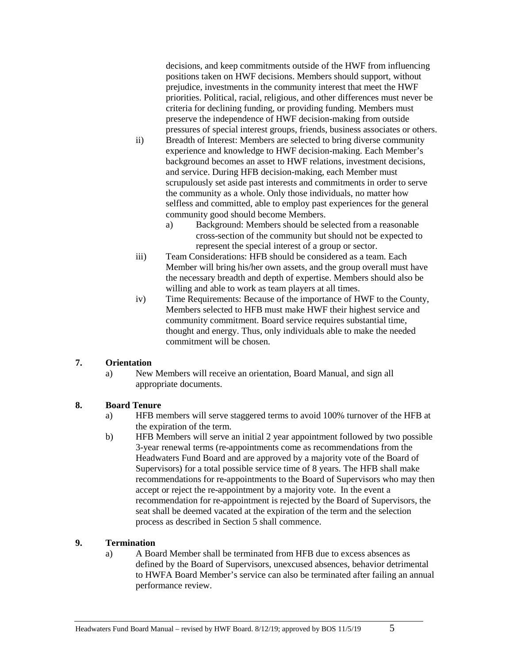<span id="page-4-3"></span>decisions, and keep commitments outside of the HWF from influencing positions taken on HWF decisions. Members should support, without prejudice, investments in the community interest that meet the HWF priorities. Political, racial, religious, and other differences must never be criteria for declining funding, or providing funding. Members must preserve the independence of HWF decision-making from outside pressures of special interest groups, friends, business associates or others.

- ii) Breadth of Interest: Members are selected to bring diverse community experience and knowledge to HWF decision-making. Each Member's background becomes an asset to HWF relations, investment decisions, and service. During HFB decision-making, each Member must scrupulously set aside past interests and commitments in order to serve the community as a whole. Only those individuals, no matter how selfless and committed, able to employ past experiences for the general community good should become Members.
	- a) Background: Members should be selected from a reasonable cross-section of the community but should not be expected to represent the special interest of a group or sector.
- iii) Team Considerations: HFB should be considered as a team. Each Member will bring his/her own assets, and the group overall must have the necessary breadth and depth of expertise. Members should also be willing and able to work as team players at all times.
- iv) Time Requirements: Because of the importance of HWF to the County, Members selected to HFB must make HWF their highest service and community commitment. Board service requires substantial time, thought and energy. Thus, only individuals able to make the needed commitment will be chosen.

# <span id="page-4-0"></span>**7. Orientation**

a) New Members will receive an orientation, Board Manual, and sign all appropriate documents.

# <span id="page-4-1"></span>**8. Board Tenure**

- a) HFB members will serve staggered terms to avoid 100% turnover of the HFB at the expiration of the term.
- b) HFB Members will serve an initial 2 year appointment followed by two possible 3-year renewal terms (re-appointments come as recommendations from the Headwaters Fund Board and are approved by a majority vote of the Board of Supervisors) for a total possible service time of 8 years. The HFB shall make recommendations for re-appointments to the Board of Supervisors who may then accept or reject the re-appointment by a majority vote. In the event a recommendation for re-appointment is rejected by the Board of Supervisors, the seat shall be deemed vacated at the expiration of the term and the selection process as described in Section 5 shall commence.

# <span id="page-4-2"></span>**9. Termination**

a) A Board Member shall be terminated from HFB due to excess absences as defined by the Board of Supervisors, unexcused absences, behavior detrimental to HWFA Board Member's service can also be terminated after failing an annual performance review.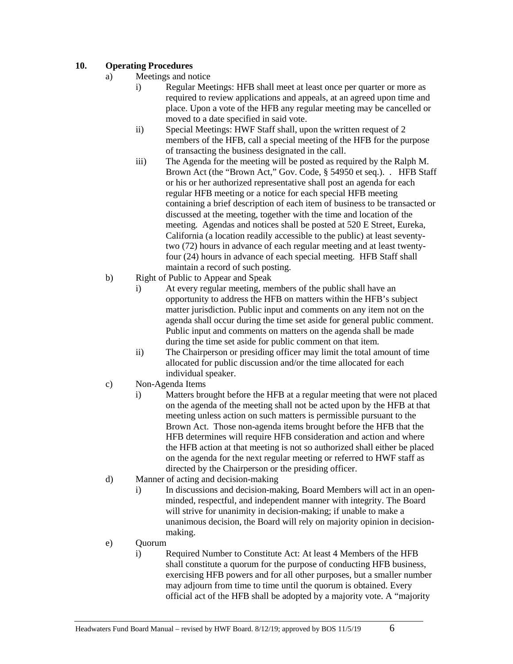# **10. Operating Procedures**

- a) Meetings and notice
	- i) Regular Meetings: HFB shall meet at least once per quarter or more as required to review applications and appeals, at an agreed upon time and place. Upon a vote of the HFB any regular meeting may be cancelled or moved to a date specified in said vote.
	- ii) Special Meetings: HWF Staff shall, upon the written request of 2 members of the HFB, call a special meeting of the HFB for the purpose of transacting the business designated in the call.
	- iii) The Agenda for the meeting will be posted as required by the Ralph M. Brown Act (the "Brown Act," Gov. Code, § 54950 et seq.). . HFB Staff or his or her authorized representative shall post an agenda for each regular HFB meeting or a notice for each special HFB meeting containing a brief description of each item of business to be transacted or discussed at the meeting, together with the time and location of the meeting. Agendas and notices shall be posted at 520 E Street, Eureka, California (a location readily accessible to the public) at least seventytwo (72) hours in advance of each regular meeting and at least twentyfour (24) hours in advance of each special meeting. HFB Staff shall maintain a record of such posting.
- b) Right of Public to Appear and Speak
	- i) At every regular meeting, members of the public shall have an opportunity to address the HFB on matters within the HFB's subject matter jurisdiction. Public input and comments on any item not on the agenda shall occur during the time set aside for general public comment. Public input and comments on matters on the agenda shall be made during the time set aside for public comment on that item.
	- ii) The Chairperson or presiding officer may limit the total amount of time allocated for public discussion and/or the time allocated for each individual speaker.
- c) Non-Agenda Items
	- i) Matters brought before the HFB at a regular meeting that were not placed on the agenda of the meeting shall not be acted upon by the HFB at that meeting unless action on such matters is permissible pursuant to the Brown Act. Those non-agenda items brought before the HFB that the HFB determines will require HFB consideration and action and where the HFB action at that meeting is not so authorized shall either be placed on the agenda for the next regular meeting or referred to HWF staff as directed by the Chairperson or the presiding officer.
- d) Manner of acting and decision-making
	- i) In discussions and decision-making, Board Members will act in an openminded, respectful, and independent manner with integrity. The Board will strive for unanimity in decision-making; if unable to make a unanimous decision, the Board will rely on majority opinion in decisionmaking.
- e) Quorum
	- i) Required Number to Constitute Act: At least 4 Members of the HFB shall constitute a quorum for the purpose of conducting HFB business, exercising HFB powers and for all other purposes, but a smaller number may adjourn from time to time until the quorum is obtained. Every official act of the HFB shall be adopted by a majority vote. A "majority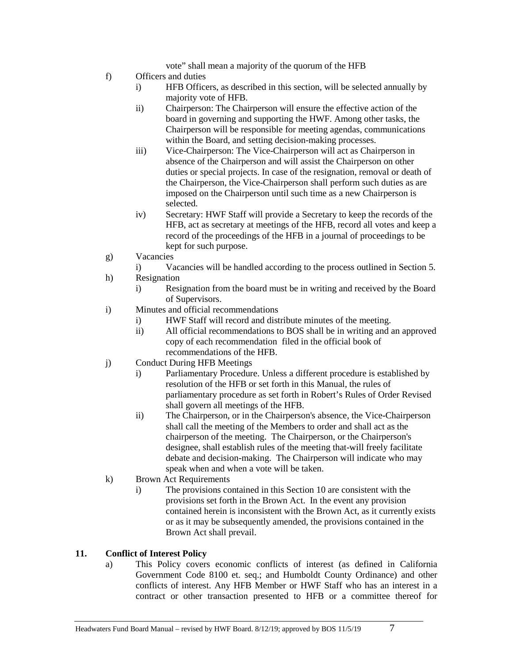vote" shall mean a majority of the quorum of the HFB

- f) Officers and duties
	- i) HFB Officers, as described in this section, will be selected annually by majority vote of HFB.
	- ii) Chairperson: The Chairperson will ensure the effective action of the board in governing and supporting the HWF. Among other tasks, the Chairperson will be responsible for meeting agendas, communications within the Board, and setting decision-making processes.
	- iii) Vice-Chairperson: The Vice-Chairperson will act as Chairperson in absence of the Chairperson and will assist the Chairperson on other duties or special projects. In case of the resignation, removal or death of the Chairperson, the Vice-Chairperson shall perform such duties as are imposed on the Chairperson until such time as a new Chairperson is selected.
	- iv) Secretary: HWF Staff will provide a Secretary to keep the records of the HFB, act as secretary at meetings of the HFB, record all votes and keep a record of the proceedings of the HFB in a journal of proceedings to be kept for such purpose.
- g) Vacancies
	- i) Vacancies will be handled according to the process outlined in Section 5.
- h) Resignation
	- i) Resignation from the board must be in writing and received by the Board of Supervisors.
- i) Minutes and official recommendations
	- i) HWF Staff will record and distribute minutes of the meeting.
	- ii) All official recommendations to BOS shall be in writing and an approved copy of each recommendation filed in the official book of recommendations of the HFB.
- j) Conduct During HFB Meetings
	- i) Parliamentary Procedure. Unless a different procedure is established by resolution of the HFB or set forth in this Manual, the rules of parliamentary procedure as set forth in Robert's Rules of Order Revised shall govern all meetings of the HFB.
	- ii) The Chairperson, or in the Chairperson's absence, the Vice-Chairperson shall call the meeting of the Members to order and shall act as the chairperson of the meeting. The Chairperson, or the Chairperson's designee, shall establish rules of the meeting that-will freely facilitate debate and decision-making. The Chairperson will indicate who may speak when and when a vote will be taken.
- k) Brown Act Requirements
	- i) The provisions contained in this Section 10 are consistent with the provisions set forth in the Brown Act. In the event any provision contained herein is inconsistent with the Brown Act, as it currently exists or as it may be subsequently amended, the provisions contained in the Brown Act shall prevail.

# <span id="page-6-0"></span>**11. Conflict of Interest Policy**

a) This Policy covers economic conflicts of interest (as defined in California Government Code 8100 et. seq.; and Humboldt County Ordinance) and other conflicts of interest. Any HFB Member or HWF Staff who has an interest in a contract or other transaction presented to HFB or a committee thereof for